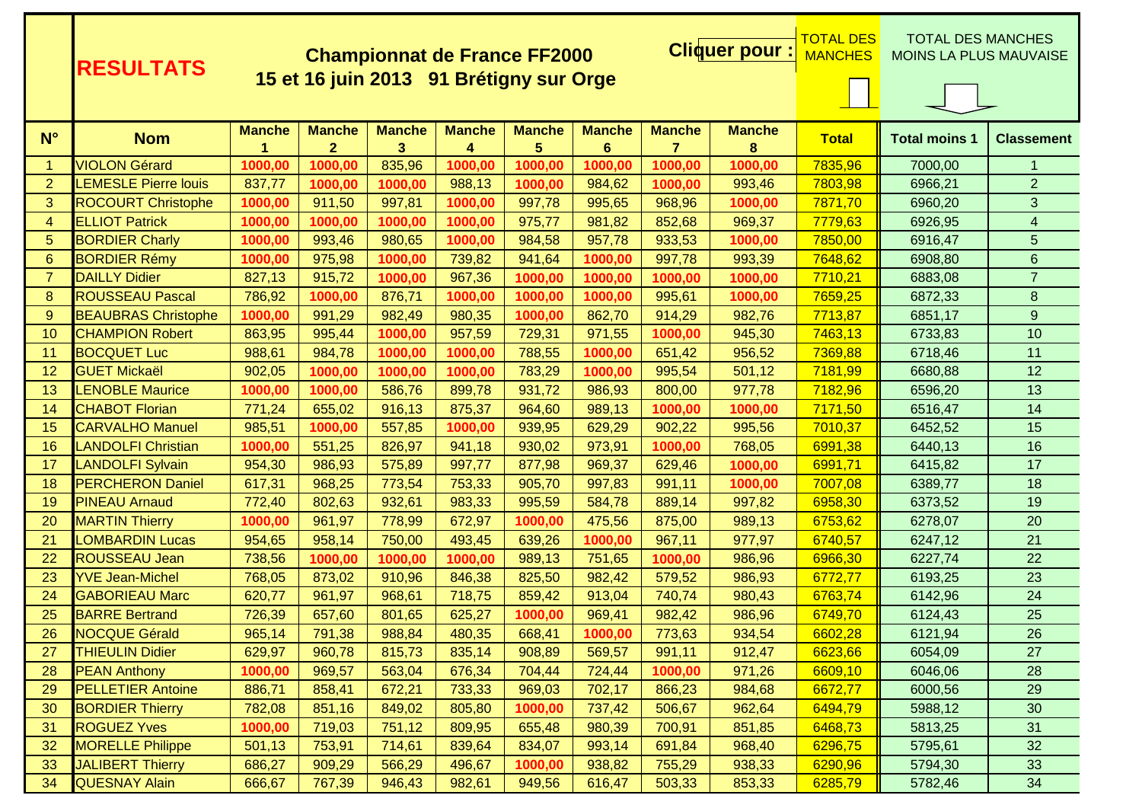|                      | <b>RESULTATS</b>            | <b>Cliquer pour</b><br><b>Championnat de France FF2000</b> |                                         |                    |                    |                    |                    |                                 |                    |              | <u>TOTAL DES</u><br>TOTAL DES MANCHES<br><b>MOINS LA PLUS MAUVAISE</b> |                         |
|----------------------|-----------------------------|------------------------------------------------------------|-----------------------------------------|--------------------|--------------------|--------------------|--------------------|---------------------------------|--------------------|--------------|------------------------------------------------------------------------|-------------------------|
|                      |                             |                                                            | 15 et 16 juin 2013 91 Brétigny sur Orge |                    |                    |                    |                    |                                 |                    |              |                                                                        |                         |
| $N^{\circ}$          | <b>Nom</b>                  | <b>Manche</b>                                              | <b>Manche</b><br>$\overline{2}$         | <b>Manche</b><br>3 | <b>Manche</b><br>4 | <b>Manche</b><br>5 | <b>Manche</b><br>6 | <b>Manche</b><br>$\overline{7}$ | <b>Manche</b><br>8 | <b>Total</b> | <b>Total moins 1</b>                                                   | <b>Classement</b>       |
| $\blacktriangleleft$ | <b>VIOLON Gérard</b>        | 1000,00                                                    | 1000,00                                 | 835,96             | 1000,00            | 1000,00            | 1000,00            | 1000,00                         | 1000,00            | 7835,96      | 7000,00                                                                | $\mathbf{1}$            |
| $\overline{2}$       | <b>LEMESLE Pierre louis</b> | 837,77                                                     | 1000,00                                 | 1000,00            | 988,13             | 1000,00            | 984,62             | 1000,00                         | 993,46             | 7803,98      | 6966,21                                                                | $\overline{2}$          |
| 3                    | <b>ROCOURT Christophe</b>   | 1000,00                                                    | 911,50                                  | 997,81             | 1000,00            | 997,78             | 995,65             | 968,96                          | 1000,00            | 7871,70      | 6960,20                                                                | 3                       |
| $\overline{4}$       | <b>ELLIOT Patrick</b>       | 1000,00                                                    | 1000,00                                 | 1000,00            | 1000,00            | 975,77             | 981,82             | 852,68                          | 969,37             | 7779,63      | 6926,95                                                                | $\overline{\mathbf{4}}$ |
| 5                    | <b>BORDIER Charly</b>       | 1000,00                                                    | 993,46                                  | 980,65             | 1000,00            | 984,58             | 957,78             | 933,53                          | 1000,00            | 7850,00      | 6916,47                                                                | 5                       |
| 6                    | <b>BORDIER Rémy</b>         | 1000,00                                                    | 975,98                                  | 1000,00            | 739,82             | 941,64             | 1000,00            | 997,78                          | 993,39             | 7648,62      | 6908,80                                                                | $6\phantom{1}$          |
| $\overline{7}$       | <b>DAILLY Didier</b>        | 827,13                                                     | 915,72                                  | 1000,00            | 967,36             | 1000,00            | 1000,00            | 1000,00                         | 1000,00            | 7710,21      | 6883,08                                                                | $\overline{7}$          |
| 8                    | <b>ROUSSEAU Pascal</b>      | 786,92                                                     | 1000,00                                 | 876,71             | 1000,00            | 1000,00            | 1000,00            | 995,61                          | 1000,00            | 7659,25      | 6872,33                                                                | $\bf 8$                 |
| 9                    | <b>BEAUBRAS Christophe</b>  | 1000,00                                                    | 991,29                                  | 982,49             | 980,35             | 1000,00            | 862,70             | 914,29                          | 982,76             | 7713,87      | 6851,17                                                                | 9                       |
| 10                   | <b>CHAMPION Robert</b>      | 863,95                                                     | 995,44                                  | 1000,00            | 957,59             | 729,31             | 971,55             | 1000,00                         | 945,30             | 7463,13      | 6733,83                                                                | 10                      |
| 11                   | <b>BOCQUET Luc</b>          | 988,61                                                     | 984,78                                  | 1000,00            | 1000,00            | 788,55             | 1000,00            | 651,42                          | 956,52             | 7369,88      | 6718,46                                                                | 11                      |
| 12                   | <b>GUET Mickaël</b>         | 902,05                                                     | 1000,00                                 | 1000,00            | 1000,00            | 783,29             | 1000,00            | 995,54                          | 501,12             | 7181,99      | 6680,88                                                                | 12                      |
| 13                   | <b>LENOBLE Maurice</b>      | 1000,00                                                    | 1000,00                                 | 586,76             | 899,78             | 931,72             | 986,93             | 800,00                          | 977,78             | 7182,96      | 6596,20                                                                | 13                      |
| 14                   | <b>CHABOT Florian</b>       | 771,24                                                     | 655,02                                  | 916,13             | 875,37             | 964,60             | 989,13             | 1000,00                         | 1000,00            | 7171,50      | 6516,47                                                                | 14                      |
| 15                   | <b>CARVALHO Manuel</b>      | 985,51                                                     | 1000,00                                 | 557,85             | 1000,00            | 939,95             | 629,29             | 902,22                          | 995,56             | 7010,37      | 6452,52                                                                | 15                      |
| 16                   | <b>LANDOLFI Christian</b>   | 1000,00                                                    | 551,25                                  | 826,97             | 941,18             | 930,02             | 973,91             | 1000,00                         | 768,05             | 6991,38      | 6440,13                                                                | 16                      |
| 17                   | <b>LANDOLFI Sylvain</b>     | 954,30                                                     | 986,93                                  | 575,89             | 997,77             | 877,98             | 969,37             | 629,46                          | 1000,00            | 6991,71      | 6415,82                                                                | 17                      |
| 18                   | <b>PERCHERON Daniel</b>     | 617,31                                                     | 968,25                                  | 773,54             | 753,33             | 905,70             | 997,83             | 991,11                          | 1000,00            | 7007,08      | 6389,77                                                                | 18                      |
| 19                   | <b>PINEAU Arnaud</b>        | 772,40                                                     | 802,63                                  | 932,61             | 983,33             | 995,59             | 584,78             | 889,14                          | 997,82             | 6958,30      | 6373,52                                                                | 19                      |
| 20                   | <b>MARTIN Thierry</b>       | 1000,00                                                    | 961,97                                  | 778,99             | 672,97             | 1000,00            | 475,56             | 875,00                          | 989,13             | 6753,62      | 6278,07                                                                | 20                      |
| 21                   | <b>LOMBARDIN Lucas</b>      | 954,65                                                     | 958,14                                  | 750,00             | 493,45             | 639,26             | 1000,00            | 967,11                          | 977,97             | 6740,57      | 6247,12                                                                | 21                      |
| 22                   | <b>ROUSSEAU Jean</b>        | 738,56                                                     | 1000,00                                 | 1000,00            | 1000,00            | 989,13             | 751,65             | 1000,00                         | 986,96             | 6966,30      | 6227,74                                                                | 22                      |
| 23                   | <b>YVE Jean-Michel</b>      | 768,05                                                     | 873,02                                  | 910,96             | 846,38             | 825,50             | 982,42             | 579,52                          | 986,93             | 6772,77      | 6193,25                                                                | 23                      |
| 24                   | <b>GABORIEAU Marc</b>       | 620,77                                                     | 961,97                                  | 968,61             | 718,75             | 859,42             | 913,04             | 740,74                          | 980,43             | 6763,74      | 6142,96                                                                | 24                      |
| 25                   | <b>BARRE Bertrand</b>       | 726,39                                                     | 657,60                                  | 801,65             | 625,27             | 1000,00            | 969,41             | 982,42                          | 986,96             | 6749,70      | 6124,43                                                                | 25                      |
| 26                   | <b>NOCQUE Gérald</b>        | 965,14                                                     | 791,38                                  | 988,84             | 480,35             | 668,41             | 1000,00            | 773,63                          | 934,54             | 6602,28      | 6121,94                                                                | 26                      |
| 27                   | <b>THIEULIN Didier</b>      | 629,97                                                     | 960,78                                  | 815,73             | 835,14             | 908,89             | 569,57             | 991,11                          | 912,47             | 6623,66      | 6054,09                                                                | 27                      |
| 28                   | <b>PEAN Anthony</b>         | 1000,00                                                    | 969,57                                  | 563,04             | 676,34             | 704,44             | 724,44             | 1000,00                         | 971,26             | 6609,10      | 6046,06                                                                | 28                      |
| 29                   | <b>PELLETIER Antoine</b>    | 886,71                                                     | 858,41                                  | 672,21             | 733,33             | 969,03             | 702,17             | 866,23                          | 984,68             | 6672,77      | 6000,56                                                                | 29                      |
| 30                   | <b>BORDIER Thierry</b>      | 782,08                                                     | 851,16                                  | 849,02             | 805,80             | 1000,00            | 737,42             | 506,67                          | 962,64             | 6494,79      | 5988,12                                                                | 30                      |
| 31                   | <b>ROGUEZ Yves</b>          | 1000,00                                                    | 719,03                                  | 751,12             | 809,95             | 655,48             | 980,39             | 700,91                          | 851,85             | 6468,73      | 5813,25                                                                | 31                      |
| 32                   | <b>MORELLE Philippe</b>     | 501,13                                                     | 753,91                                  | 714,61             | 839,64             | 834,07             | 993,14             | 691,84                          | 968,40             | 6296,75      | 5795,61                                                                | 32                      |
| 33                   | <b>JALIBERT Thierry</b>     | 686,27                                                     | 909,29                                  | 566,29             | 496,67             | 1000,00            | 938,82             | 755,29                          | 938,33             | 6290,96      | 5794,30                                                                | 33                      |
| 34                   | <b>QUESNAY Alain</b>        | 666,67                                                     | 767,39                                  | 946,43             | 982,61             | 949,56             | 616,47             | 503,33                          | 853,33             | 6285,79      | 5782,46                                                                | 34                      |